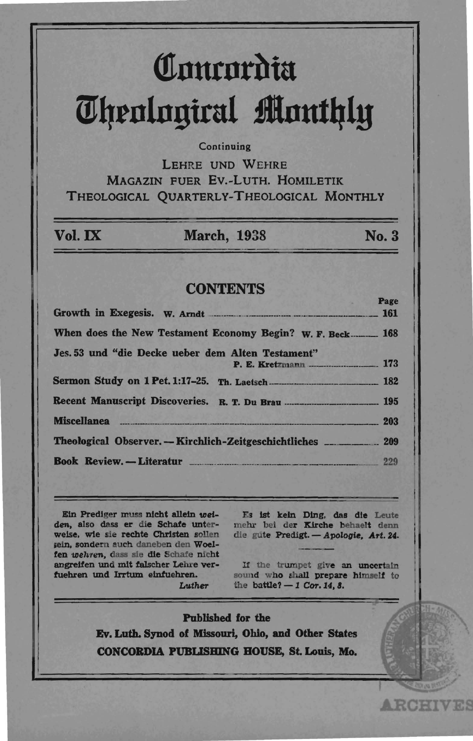# **Comrordia** m~rnlngirul **lInut41y**

# **Continuing**

LEHRE UND WEHRE MAGAZIN FUER Ev.-LuTH. HOMILETIK THEOLOGICAL QUARTERLY-THEOLOGICAL MONTHLY

| Vol. IX                                                   | <b>March, 1938</b>                                                      | No. 3 |
|-----------------------------------------------------------|-------------------------------------------------------------------------|-------|
|                                                           | <b>CONTENTS</b>                                                         |       |
|                                                           |                                                                         | Page  |
|                                                           |                                                                         |       |
| When does the New Testament Economy Begin? W. F. Beck 168 |                                                                         |       |
|                                                           | Jes. 53 und "die Decke ueber dem Alten Testament"                       |       |
|                                                           |                                                                         |       |
|                                                           |                                                                         |       |
|                                                           | Miscellanea 203                                                         |       |
|                                                           | Theological Observer. - Kirchlich-Zeitgeschichtliches __________. 209   |       |
|                                                           | <b>Book Review.</b> —Literatur <u>—————————————————————————————————</u> | 229   |

Etn Predlger muss nleht alleln toeiden. also dasa er die Schafe unterweise, wie sie rechte Christen sollen sein, sondern auch daneben den Woelfen wehren, dass sie die Schafe nicht angrelfen und mIt falscher Lehre verfuehren und Irrtum elntuehren.

Es 1st keln Ding. das die Leute mehr bei der Kirche behaelt denn die gute Predigt. - Apologie, Art. 24.

If the trumpet give an uncertain sound who shall prepare himself to the battle?  $-1$  Cor. 14, 8.

**ARCHIVES** 

Published for the Ev. Loth. Synod of Missouri, Ohio, and Other States CONCORDIA PUBUSBING BOUSE, St. Louis, Mo.

Luther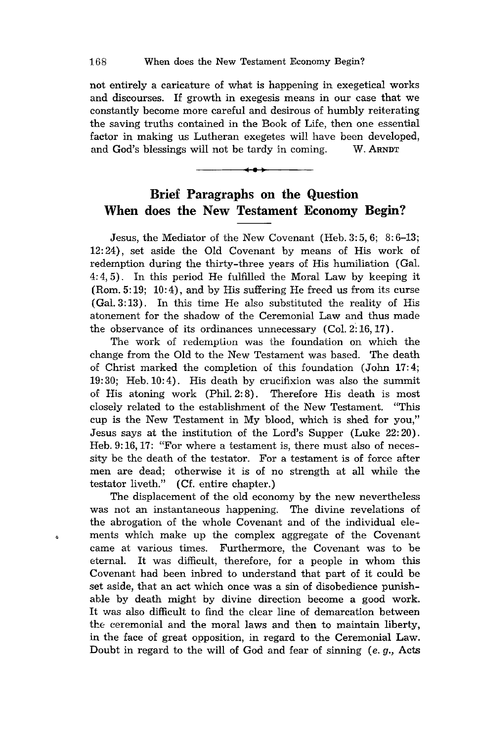not entirely a caricature of what is happening in exegetical works and discourses. If growth in exegesis means in our case that we constantly become more careful and desirous of humbly reiterating the saving truths contained in the Book of Life, then one essential factor in making us Lutheran exegetes will have been developed, and God's blessings will not be tardy in coming. W. ARNDT



Jesus, the Mediator of the New Covenant (Heb. 3: 5,6; 8: 6-13; 12: 24), set aside the Old Covenant by means of His work of redemption during the thirty-three years of His humiliation (Gal. 4: 4,5). In this period He fulfilled the Moral Law by keeping it (Rom. 5:19; 10:4), and by His suffering He freed us from its curse (Gal. 3: 13) . In this time He also substituted the reality of His atonement for the shadow of the Ceremonial Law and thus made the observance of its ordinances unnecessary  $(Col. 2: 16, 17)$ .

The work of redemption was the foundation on which the change from the Old to the New Testament was based. The death of Christ marked the completion of this foundation (John 17:4; 19: 30; Heb. 10: 4). His death by crucifixion was also the summit of His atoning work (Phil. 2: 8). Therefore His death is most closely related to the establishment of the New Testament. "This cup is the New Testament in My blood, which is shed for you," Jesus says at the institution of the Lord's Supper (Luke 22: 20). Heb. 9:16, 17: "For where a testament is, there must also of necessity be the death of the testator. For a testament is of force after men are dead; otherwise it is of no strength at all while the testator liveth." (Cf. entire chapter.)

The displacement of the old economy by the new nevertheless was not an instantaneous happening. The divine revelations of the abrogation of the whole Covenant and of the individual elements which make up the complex aggregate of the Covenant came at various times. Furthermore, the Covenant was to be eternal. It was difficult, therefore, for a people in whom this Covenant had been inbred to understand that part of it could be set aside, that an act which once was a sin of disobedience punishable by death might by divine direction become a good work. It was also difficult to find the clear line of demarcation between the ceremonial and the moral laws and then to maintain liberty, in the face of great opposition, in regard to the Ceremonial Law. Doubt in regard to the will of God and fear of sinning (e. g., Acts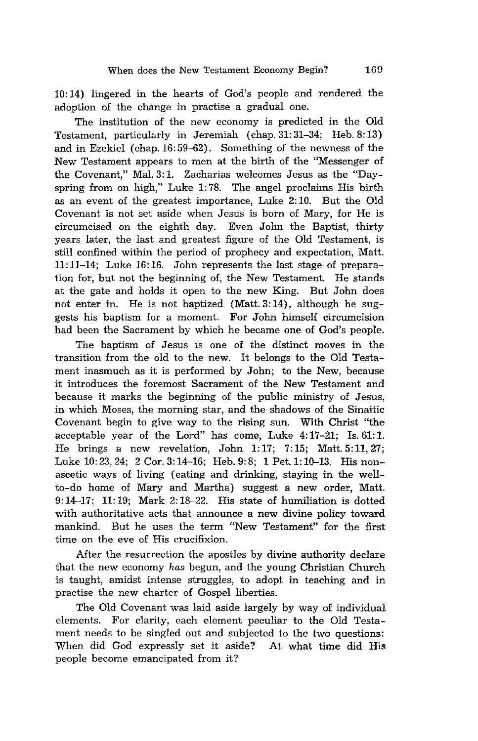10: 14) lingered in the hearts of God's people and rendered the adoption of the change in practise a gradual one.

The institution of the new economy is predicted in the Old Testament, particularly in Jeremiah (chap. 31: 31-34; Heb. 8: 13) and in Ezekiel (chap. 16:59-62). Something of the newness of the New Testament appears to men at the birth of the "Messenger of the Covenant," Mal. 3:1. Zacharias welcomes Jesus as the "Dayspring from on high," Luke 1: 78. The angel proclaims His birth as an event of the greatest importance, Luke 2: 10. But the Old Covenant is not set aside when Jesus is born of Mary, for He is circumcised on the eighth day. Even John the Baptist, thirty years later, the last and greatest figure of the Old Testament, is still confined within the period of prophecy and expectation, Matt. 11:11-14; Luke 16:16. John represents the last stage of preparation for, but not the beginning of, the New Testament. He stands at the gate and holds it open to the new King. But John does not enter in. He is not baptized (Matt. 3: 14), although he suggests his baptism for a moment. For John himself circumcision had been the Sacrament by which he became one of God's people.

The baptism of Jesus is one of the distinct moves in the transition from the old to the new. It belongs to the Old Testament inasmuch as it is performed by John; to the New, because it introduces the foremost Sacrament of the New Testament and because it marks the beginning of the public ministry of Jesus, in which Moses, the morning star, and the shadows of the Sinaitic Covenant begin to give way to the rising sun. With Christ "the acceptable year of the Lord" has come, Luke 4: 17-21; Is. 61: 1. He brings a new revelation, John 1: 17; 7: 15; Matt. 5: **11,27;**  Luke 10: 23, 24; 2 Cor. 3: 14-16; Heb. 9: 8; 1 Pet. 1: 10-13. His nonascetic ways of living (eating and drinking, staying in the wellto-do home of Mary and Martha) suggest a new order, Matt. 9:14-17; 11:19; Mark 2:18-22. His state of humiliation is dotted with authoritative acts that announce a new divine policy toward mankind. But he uses the term "New Testament" for the first time on the eve of His crucifixion.

After the resurrection the apostles by divine authority declare that the new economy *has* begun, and the young Christian Church is taught, amidst intense struggles, to adopt in teaching and in practise the new charter of Gospel liberties.

The Old Covenant was laid aside largely by way of individual elements. For clarity, each element peculiar to the Old Testament needs to be singled out and subjected to the two questions: When did God expressly set it aside? At what time did His people become emancipated from it?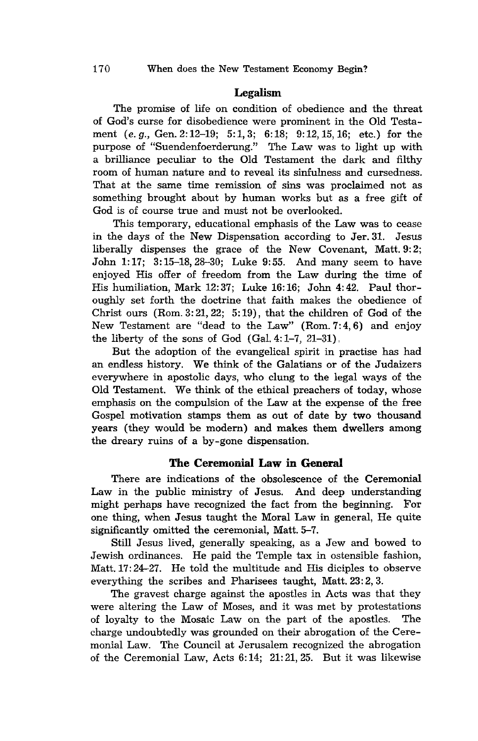## Legalism

The promise of life on condition of obedience and the threat of God's curse for disobedience were prominent in the Old Testament (e. g., Gen. 2: 12-19; 5: 1,3; 6: 18; 9: 12,15,16; etc.) for the purpose of "Suendenfoerderung." The Law was to light up with a brilliance peculiar to the Old Testament the dark and filthy room of human nature and to reveal its sinfulness and cursedness. That at the same time remission of sins was proclaimed not as something brought about by human works but as a free gift of God is of course true and must not be overlooked.

This temporary, educational emphasis of the Law was to cease in the days of the New Dispensation according to Jer.31. Jesus liberally dispenses the grace of the New Covenant, Matt. 9:2; John 1:17; 3:15-18,28-30; Luke 9:55. And many seem to have enjoyed His offer of freedom from the Law during the time of His humiliation, Mark 12: 37; Luke 16: 16; John 4: 42. Paul thoroughly set forth the doctrine that faith makes the obedience of Christ ours  $(Rom. 3: 21, 22; 5: 19)$ , that the children of God of the New Testament are "dead to the Law" (Rom. 7:4, 6) and enjoy the liberty of the sons of God  $(Gal. 4: 1-7, 21-31)$ .

But the adoption of the evangelical spirit in practise has had an endless history. We think of the Galatians or of the Judaizers everywhere in apostolic days, who clung to the legal ways of the Old Testament. We think of the ethical preachers of today, whose emphasis on the compulsion of the Law at the expense of the free Gospel motivation stamps them as out of date by two thousand years (they would be modern) and makes them dwellers among the dreary ruins of a by-gone dispensation.

# The Ceremonial Law in General

There are indications of the obsolescence of the Ceremonial Law in the public ministry of Jesus. And deep understanding might perhaps have recognized the fact from the beginning. For one thing, when Jesus taught the Moral Law in general, He quite significantly omitted the ceremonial, Matt. 5-7.

Still Jesus lived, generally speaking, as a Jew and bowed to Jewish ordinances. He paid the Temple tax in ostensible fashion, Matt. 17: 24-27. He told the multitude and His diciples to observe everything the scribes and Pharisees taught, Matt. 23: 2, 3.

The gravest charge against the apostles in Acts was that they were altering the Law of Moses, and it was met by protestations of loyalty to the Mosaic Law on the part of the apostles. The charge undoubtedly was grounded on their abrogation of the Ceremonial Law. The Council at Jerusalem recognized the abrogation of the Ceremonial Law, Acts 6: 14; 21: 21,25. But it was likewise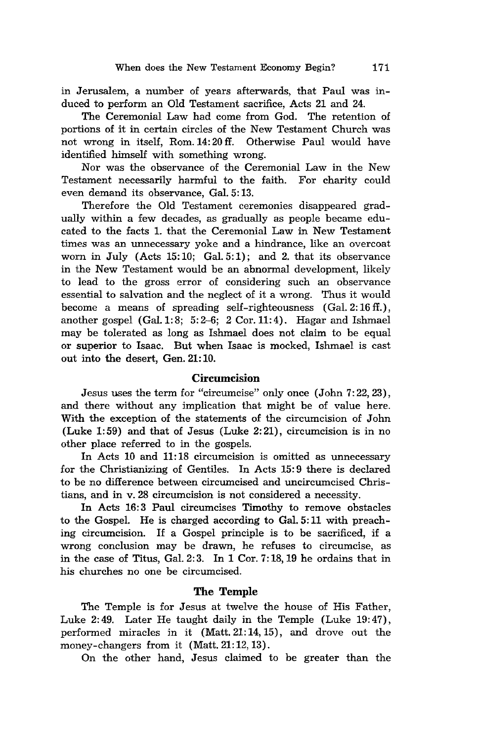in Jerusalem, a number of years afterwards, that Paul was induced to perform an Old Testament sacrifice, Acts 21 and 24.

The Ceremonial Law had come from God. The retention of portions of it in certain circles of the New Testament Church was not wrong in itself, Rom. 14: 20 ft. Otherwise Paul would have identified himself with something wrong.

Nor was the observance of the Ceremonial Law in the New Testament necessarily harmful to the faith. For charity could even demand its observance, Gal. 5: 13.

Therefore the Old Testament ceremonies disappeared gradually within a few decades, as gradually as people became educated to the facts 1. that the Ceremonial Law in New Testament times was an unnecessary yoke and a hindrance, like an overcoat worn in July (Acts 15:10; Gal.  $5:1$ ); and 2. that its observance in the New Testament would be an abnormal development, likely to lead to the gross error of considering such an observance essential to salvation and the neglect of it a wrong. Thus it would become a means of spreading self-righteousness (Gal. 2:16 ff.), another gospel (Gal. 1:8; 5:2-6; 2 Cor. 11:4). Hagar and Ishmael may be tolerated as long as Ishmael does not claim to be equal or superior to Isaac. But when Isaac is mocked, Ishmael is cast out into the desert, Gen. 21: 10.

### Circumcision

Jesus uses the term for "circumcise" only once (John 7:22,23), and there without any implication that might be of value here. With the exception of the statements of the circumcision of John (Luke 1:59) and that of Jesus (Luke 2:21), circumcision is in no other place referred to in the gospels.

In Acts 10 and 11: 18 circumcision is omitted as unnecessary for the Christianizing of Gentiles. In Acts 15: 9 there is declared to be no difference between circumcised and uncircumcised Christians, and in v.28 circumcision is not considered a necessity.

In Acts 16:3 Paul circumcises Timothy to remove obstacles to the Gospel. He is charged according to Gal. 5: 11 with preaching circumcision. If a Gospel principle is to be sacrificed, if a wrong conclusion may be drawn, he refuses to circumcise, as in the case of Titus, Ga1. 2: 3. In 1 Cor. 7: 18,19 he ordains that in his churches no one be circumcised.

## **The** Temple

The Temple is for Jesus at twelve the house of His Father, Luke 2:49. Later He taught daily in the Temple (Luke 19:47), performed miracles in it (Matt. 21: 14, 15), and drove out the money-changers from it (Matt. 21:12, 13).

On the other hand, Jesus claimed to be greater than the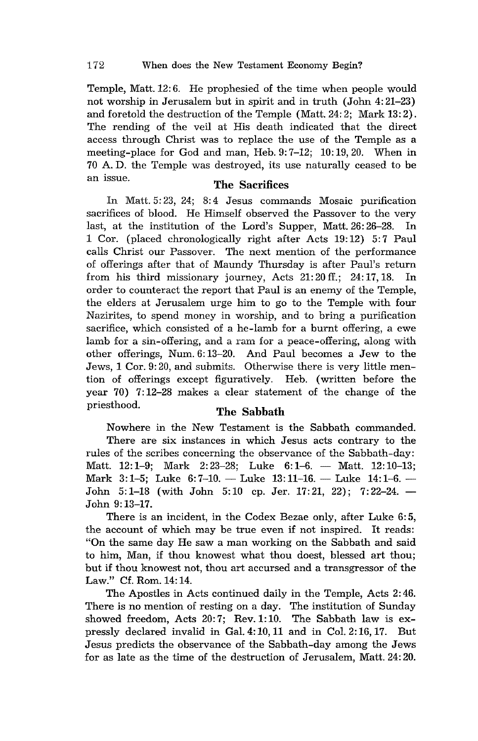Temple, Matt. 12: 6. He prophesied of the time when people would not worship in Jerusalem but in spirit and in truth (John 4: 21-23) and foretold the destruction of the Temple (Matt. 24: 2; Mark 13: 2). The rending of the veil at His death indicated that the direct access through Christ was to replace the use of the Temple as a meeting-place for God and man, Heb. 9: 7-12; 10: 19,20. When in 70 A. D. the Temple was destroyed, its use naturally ceased to be an issue. The Sacrifices

In Matt. 5: 23, 24; 8: 4 Jesus commands Mosaic purification sacrifices of blood. He Himself observed the Passover to the very last, at the institution of the Lord's Supper, Matt. 26: 26-28. In 1 Cor. (placed chronologically right after Acts 19:12) 5:7 Paul calls Christ our Passover. The next mention of the performance of offerings after that of Maundy Thursday is after Paul's return from his third missionary journey, Acts 21: 20 ft.; 24: 17,18. In order to counteract the report that Paul is an enemy of the Temple, the elders at Jerusalem urge him to go to the Temple with four Nazirites, to spend money in worship, and to bring a purification sacrifice, which consisted of a he-lamb for a burnt offering, a ewe lamb for a sin-offering, and a ram for a peace-offering, along with other offerings, Num. 6: 13-20. And Paul becomes a Jew to the Jews, 1 Cor. 9: 20, and submits. Otherwise there is very little mention of offerings except figuratively. Heb. (written before the year 70) 7: 12-28 makes a clear statement of the change of the priesthood. The **Sabbath** 

Nowhere in the New Testament is the Sabbath commanded. There are six instances in which Jesus acts contrary to the rules of the scribes concerning the observance of the Sabbath-day: Matt. 12:1-9; Mark 2:23-28; Luke 6:1-6. - Matt. 12:10-13; Mark 3:1-5; Luke 6: 7-10. - Luke 13:11-16. - Luke 14:1-6. -John 5:1-18 (with John 5:10 cp. Jer. 17:21, 22); 7:22-24.-John 9:13-17.

There is an incident, in the Codex Bezae only, after Luke 6:5, the account of which may be true even if not inspired. It reads: "On the same day He saw a man working on the Sabbath and said to him, Man, if thou knowest what thou doest, blessed art thou; but if thou knowest not, thou art accursed and a transgressor of the Law." Cf. Rom. 14: 14.

The Apostles in Acts continued daily in the Temple, Acts 2: 46. There is no mention of resting on a day. The institution of Sunday showed freedom, Acts 20:7; Rev. 1:10. The Sabbath law is expressly declared invalid in Gal. 4: 10,11 and in Col. 2: 16,17. But Jesus predicts the observance of the Sabbath-day among the Jews for as late as the time of the destruction of Jerusalem, Matt. 24: 20.